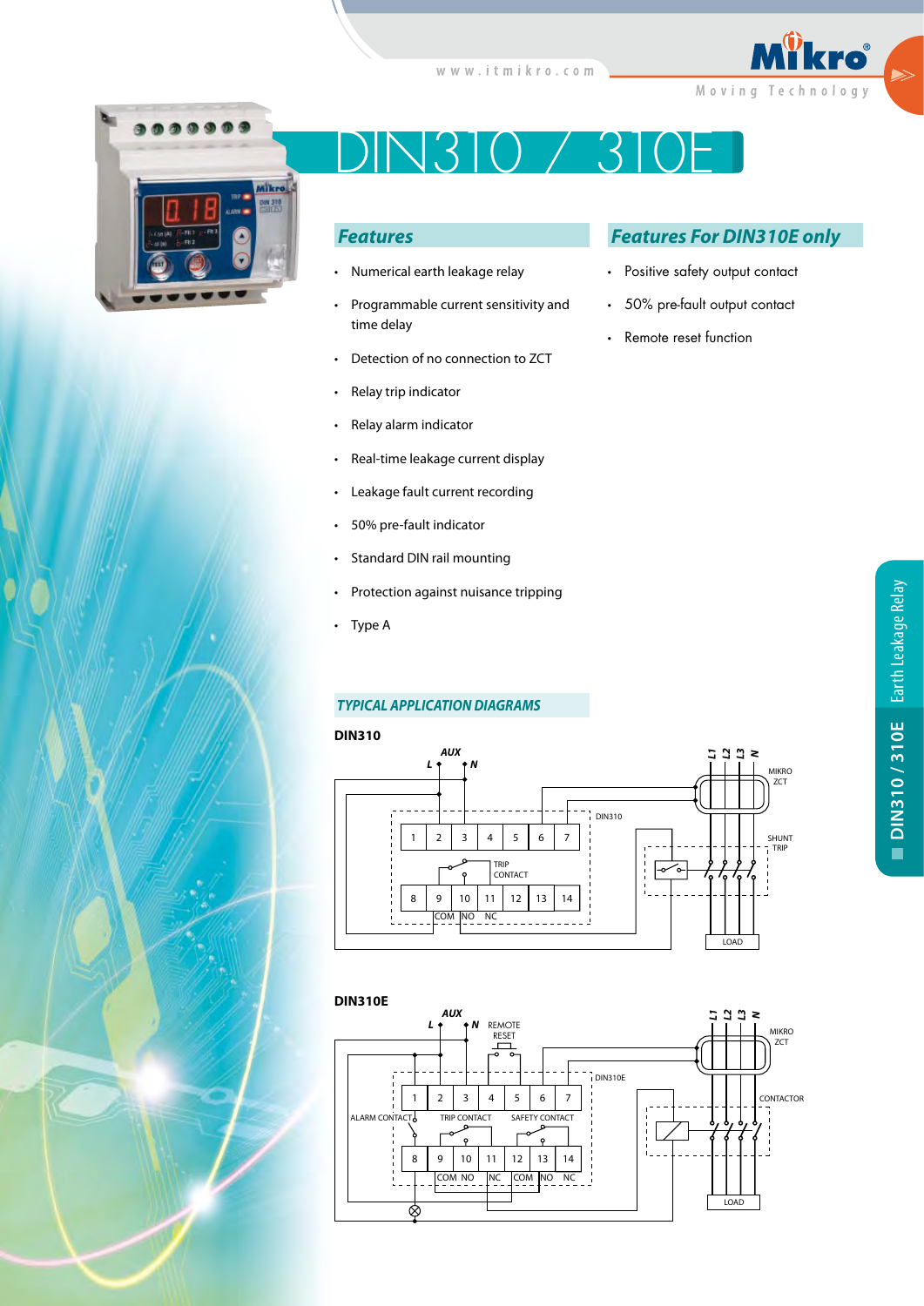



# DIN310 / 310E

# *Features*

- Numerical earth leakage relay
- Programmable current sensitivity and time delay
- Detection of no connection to ZCT
- Relay trip indicator
- Relay alarm indicator
- Real-time leakage current display
- Leakage fault current recording
- 50% pre-fault indicator
- Standard DIN rail mounting
- Protection against nuisance tripping
- Type A

## *TYPICAL APPLICATION DIAGRAMS*

#### **DIN310**





# *Features For DIN310E only*

- Positive safety output contact
- 50% pre-fault output contact
- Remote reset function